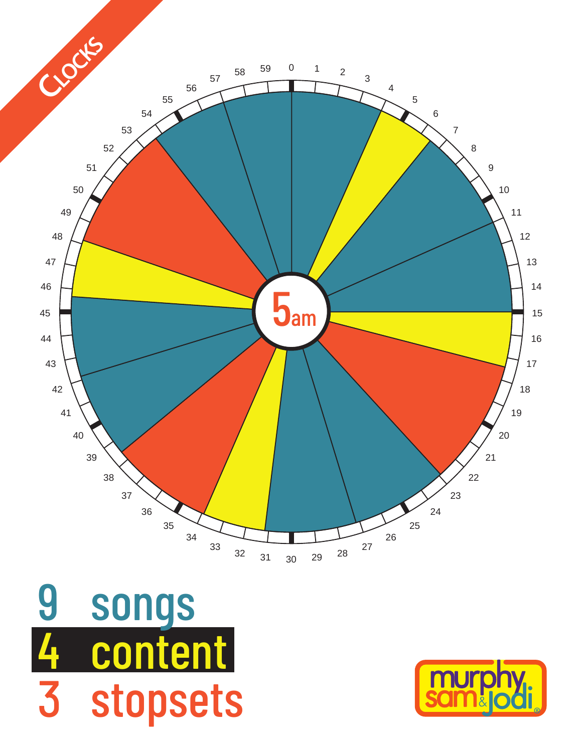

songs content stopsets 

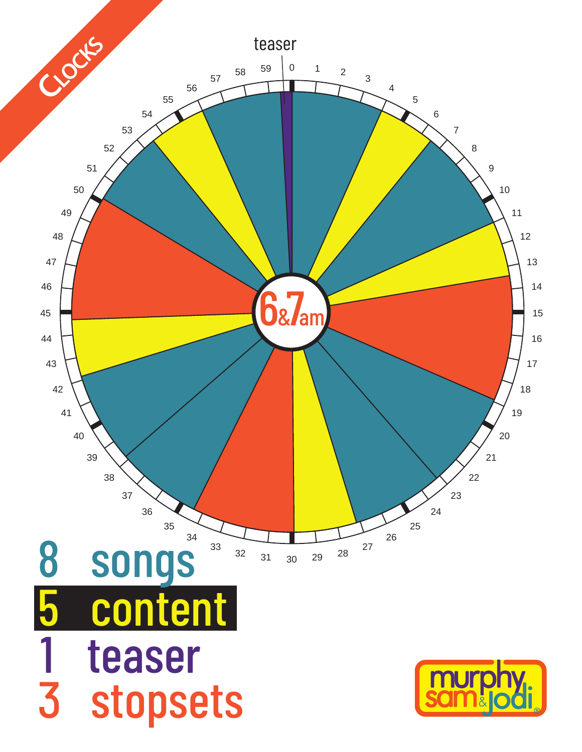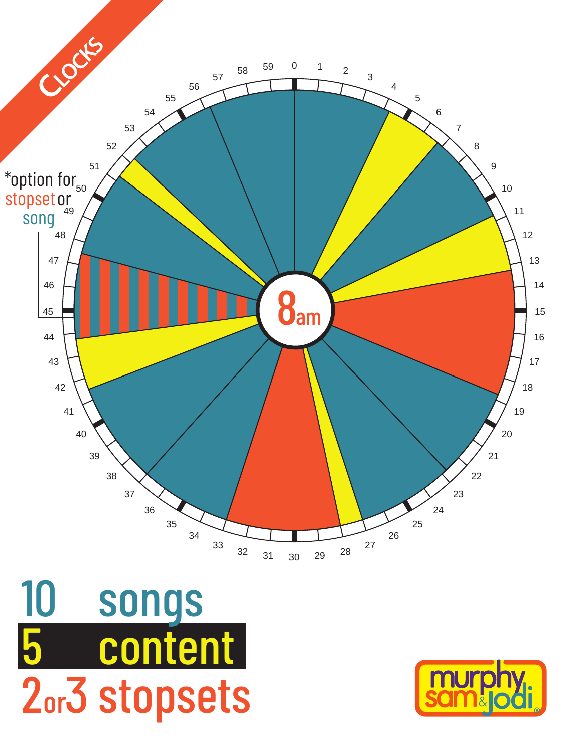

songs content 2or3 stopsets